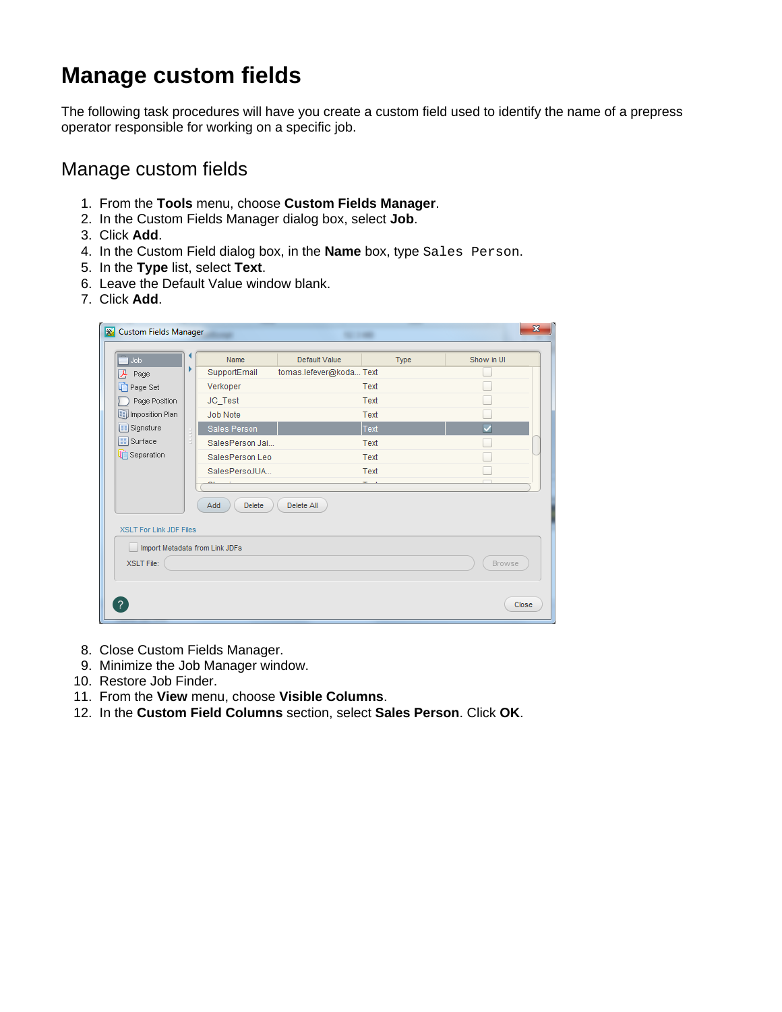# **Manage custom fields**

The following task procedures will have you create a custom field used to identify the name of a prepress operator responsible for working on a specific job.

### Manage custom fields

- 1. From the **Tools** menu, choose **Custom Fields Manager**.
- 2. In the Custom Fields Manager dialog box, select **Job**.
- 3. Click **Add**.
- 4. In the Custom Field dialog box, in the **Name** box, type Sales Person.
- 5. In the **Type** list, select **Text**.
- 6. Leave the Default Value window blank.
- 7. Click **Add**.

| Job                                                                         |                                                                                                                                                                   | Name                           | Default Value           | Type | Show in UI |
|-----------------------------------------------------------------------------|-------------------------------------------------------------------------------------------------------------------------------------------------------------------|--------------------------------|-------------------------|------|------------|
| ⊁<br>Page                                                                   | r                                                                                                                                                                 | SupportEmail                   | tomas.lefever@koda Text |      |            |
| r<br>Page Set                                                               |                                                                                                                                                                   | Verkoper                       |                         | Text |            |
| Page Position                                                               |                                                                                                                                                                   | JC_Test                        |                         | Text |            |
| Imposition Plan<br><b>B</b> Signature<br>$\boxed{::}$ Surface<br>Separation |                                                                                                                                                                   | Job Note                       |                         | Text |            |
|                                                                             | $\begin{array}{c} \begin{array}{c} \begin{array}{c} \begin{array}{c} \end{array} \\ \begin{array}{c} \end{array} \end{array} \end{array} \end{array} \end{array}$ | Sales Person                   |                         | Text | ◡          |
|                                                                             |                                                                                                                                                                   | SalesPerson Jai                |                         | Text |            |
|                                                                             |                                                                                                                                                                   | SalesPerson Leo                |                         | Text |            |
|                                                                             |                                                                                                                                                                   | SalesPersoJUA                  |                         | Text |            |
|                                                                             |                                                                                                                                                                   |                                |                         |      |            |
| <b>XSLT For Link JDF Files</b>                                              |                                                                                                                                                                   | Add<br><b>Delete</b>           | Delete All              |      |            |
|                                                                             |                                                                                                                                                                   | Import Metadata from Link JDFs |                         |      |            |
| <b>XSLT File:</b>                                                           |                                                                                                                                                                   |                                |                         |      | Browse     |

- 8. Close Custom Fields Manager.
- 9. Minimize the Job Manager window.
- 10. Restore Job Finder.
- 11. From the **View** menu, choose **Visible Columns**.
- 12. In the **Custom Field Columns** section, select **Sales Person**. Click **OK**.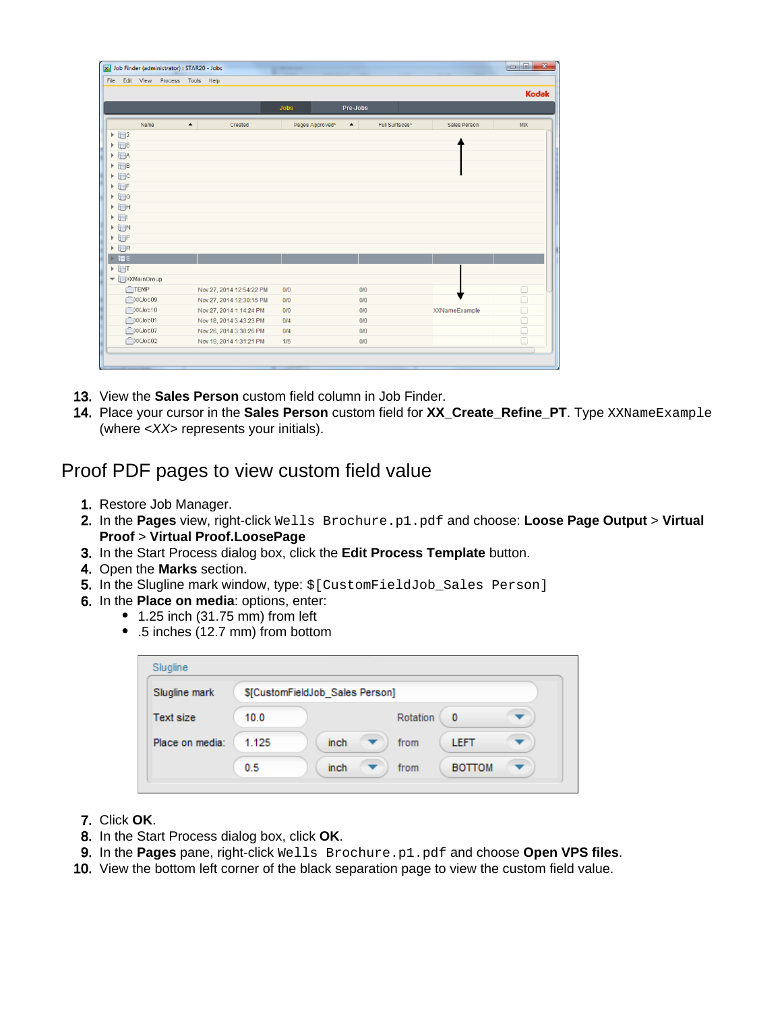| File<br>Edit View Process Tools Help                    |                             |             |                                     |                |                      |              |
|---------------------------------------------------------|-----------------------------|-------------|-------------------------------------|----------------|----------------------|--------------|
|                                                         |                             |             |                                     |                |                      | <b>Kodak</b> |
|                                                         |                             | <b>Jobs</b> | Pre-Jobs                            |                |                      |              |
| Name                                                    | $\blacktriangle$<br>Created |             | Pages Approved*<br>$\blacktriangle$ | Full Surfaces* | Sales Person         | <b>MIX</b>   |
| $\triangleright$ $\square$                              |                             |             |                                     |                |                      |              |
| $\triangleright$ $\square$ <sup>3</sup>                 |                             |             |                                     |                |                      |              |
| $\triangleright$ $\Box$ A                               |                             |             |                                     |                |                      |              |
| $\triangleright$ $\blacksquare$ B                       |                             |             |                                     |                |                      |              |
| $\triangleright$ $\Box$ c                               |                             |             |                                     |                |                      |              |
| $\triangleright$ $\blacksquare$ F                       |                             |             |                                     |                |                      |              |
| $\triangleright$ $\Box$<br>$\triangleright$ $\boxdot$ H |                             |             |                                     |                |                      |              |
| $\mathbf{F}$                                            |                             |             |                                     |                |                      |              |
| $\triangleright$ $\Box N$                               |                             |             |                                     |                |                      |              |
| ▶ P                                                     |                             |             |                                     |                |                      |              |
| $\triangleright$ $\Box$ R                               |                             |             |                                     |                |                      |              |
| $\rightarrow$ to s                                      |                             |             |                                     |                |                      |              |
| $\triangleright$ $\Box$ T                               |                             |             |                                     |                |                      |              |
| ▼ DXMainGroup                                           |                             |             |                                     |                |                      |              |
| TEMP                                                    | Nov 27, 2014 12:54:22 PM    | 0/0         | 0/0                                 |                |                      | $\Box$       |
| <b>PXXJob09</b>                                         | Nov 27, 2014 12:30:15 PM    | 0/0         | 0/0                                 |                |                      | $\Box$       |
| CXXJob10                                                | Nov 27, 2014 1:14:24 PM     | 0/0         | 0/0                                 |                | <b>XXNameExample</b> | $\Box$       |
| CXXJob01                                                | Nov 18, 2014 3:43:23 PM     | 0/4         | 0/0                                 |                |                      | $\Box$       |
| CXCJob07                                                | Nov 26, 2014 3:38:26 PM     | 0/4         | 0/0                                 |                |                      | $\Box$       |
| CDXXJob02                                               | Nov 19, 2014 1:31:21 PM     | 1/5         | 0/0                                 |                |                      | Ū            |

- 13. View the **Sales Person** custom field column in Job Finder.
- 14. Place your cursor in the **Sales Person** custom field for **XX\_Create\_Refine\_PT**. Type XXNameExample (where <XX> represents your initials).

### Proof PDF pages to view custom field value

- 1. Restore Job Manager.
- 2. In the **Pages** view, right-click Wells Brochure.p1.pdf and choose: **Loose Page Output** > **Virtual Proof** > **Virtual Proof.LoosePage**
- 3. In the Start Process dialog box, click the **Edit Process Template** button.
- 4. Open the **Marks** section.
- 5. In the Slugline mark window, type: \$[CustomFieldJob\_Sales Person]
- 6. In the **Place on media**: options, enter:
	- $\bullet$  1.25 inch (31.75 mm) from left
	- .5 inches (12.7 mm) from bottom

| Slugline         |                                 |                       |  |  |  |
|------------------|---------------------------------|-----------------------|--|--|--|
| Slugline mark    | \$[CustomFieldJob Sales Person] |                       |  |  |  |
| <b>Text size</b> | 10.0                            | Rotation<br>0         |  |  |  |
| Place on media:  | 1.125<br><i>inch</i>            | <b>LEFT</b><br>from   |  |  |  |
|                  | 0.5<br>inch                     | <b>BOTTOM</b><br>from |  |  |  |

- 7. Click **OK**.
- 8. In the Start Process dialog box, click **OK**.
- 9. In the **Pages** pane, right-click Wells Brochure.p1.pdf and choose **Open VPS files**.
- 10. View the bottom left corner of the black separation page to view the custom field value.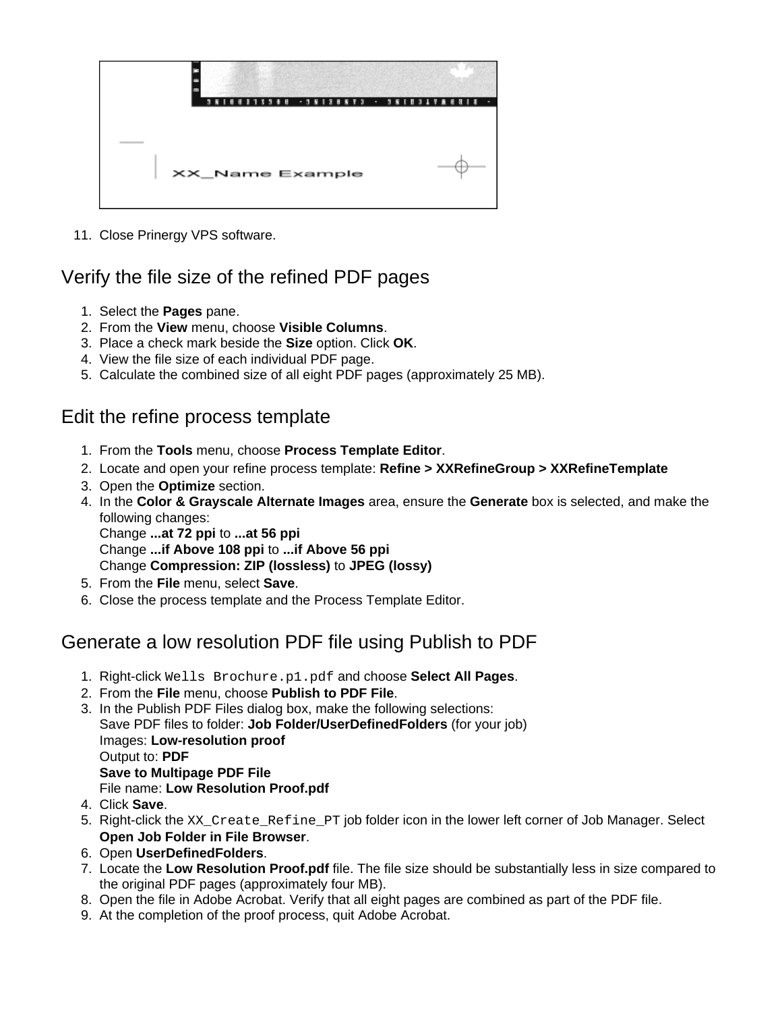

11. Close Prinergy VPS software.

## Verify the file size of the refined PDF pages

- 1. Select the **Pages** pane.
- 2. From the **View** menu, choose **Visible Columns**.
- 3. Place a check mark beside the **Size** option. Click **OK**.
- 4. View the file size of each individual PDF page.
- 5. Calculate the combined size of all eight PDF pages (approximately 25 MB).

### Edit the refine process template

- 1. From the **Tools** menu, choose **Process Template Editor**.
- 2. Locate and open your refine process template: **Refine > XXRefineGroup > XXRefineTemplate**
- 3. Open the **Optimize** section.
- 4. In the **Color & Grayscale Alternate Images** area, ensure the **Generate** box is selected, and make the following changes: Change **...at 72 ppi** to **...at 56 ppi** Change **...if Above 108 ppi** to **...if Above 56 ppi** Change **Compression: ZIP (lossless)** to **JPEG (lossy)**
- 5. From the **File** menu, select **Save**.
- 6. Close the process template and the Process Template Editor.

## Generate a low resolution PDF file using Publish to PDF

- 1. Right-click Wells Brochure.p1.pdf and choose **Select All Pages**.
- 2. From the **File** menu, choose **Publish to PDF File**.
- 3. In the Publish PDF Files dialog box, make the following selections: Save PDF files to folder: **Job Folder/UserDefinedFolders** (for your job) Images: **Low-resolution proof** Output to: **PDF Save to Multipage PDF File** File name: **Low Resolution Proof.pdf**
- 4. Click **Save**.
- 5. Right-click the XX\_Create\_Refine\_PT job folder icon in the lower left corner of Job Manager. Select **Open Job Folder in File Browser**.
- 6. Open **UserDefinedFolders**.
- 7. Locate the **Low Resolution Proof.pdf** file. The file size should be substantially less in size compared to the original PDF pages (approximately four MB).
- 8. Open the file in Adobe Acrobat. Verify that all eight pages are combined as part of the PDF file.
- 9. At the completion of the proof process, quit Adobe Acrobat.